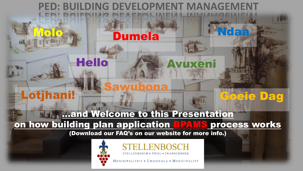## **PED: BUILDING DEVELOPMENT MANAG**

**Dumela** 

### **Example 10 Welcome to this Presentation** on how building plan application BPAWS process works

(Download our FAQ's on our website for more info.)



**Hello** 

**Lotjhani!** 



ioeje Dag

MUNISIPALITEIT . UMASIPALA . MUNICIPALITY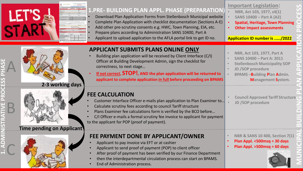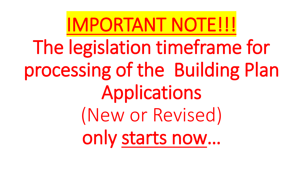IMPORTANT NOTE!!! The legislation timeframe for processing of the Building Plan Applications (New or Revised) only starts now…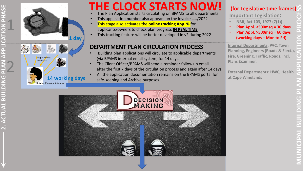



**Departments** feedback

**14 working days**

### **THE CLOCK STARTS NOW! (for Legislative time frames)**

- The Plan Application starts circulating on BPAMS to all departments
- This application number also appears on the invoice …../2022
- This stage also activates the **online tracking App. %** for applicants/owners to check plan progress **IN REAL TIME**
- This tracking feature will be better developed in v2 during 2022

#### **DEPARTMENT PLAN CIRCULATION PROCESS**

- Building plan applications will circulate to applicable departments (via BPAMS internal email system) for 14 days.
- The Client Officer/BPAMS will send a reminder follow up email after the first 7 days of the circulation process and again after 14 days.
- All the application documentation remains on the BPAMS portal for safe-keeping and Archive purposes.



**Important Legislation:**

- **NBR, Act 103, 1977 (7(1))**
	- **Plan Appl. <500msq = 30 days**
	- **Plan Appl. >500msq = 60 days (working days – Mon to Fri)**

**Internal Departments: PAC, Town Planning, Engineers (Roads & Elect.), Fire, Greening, Traffic, Roads, incl. Plans Examiner.**

**External Departments: HWC, Health at Cape Winelands**

**MUNICIPAL BUILDING PLAN APPLICATION PROCESS** 

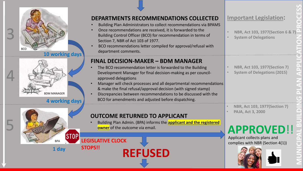

**10 working days**



5

**1 day**

**BPA** 



**DEPARTMENTS RECOMMENDATIONS COLLECTED**

# **MUNICIPAL BUILDING PLAN APPLICATION PROCESS Important Legislation:** • **NBR, Act 103, 1977(Section 6 & 7)** • **NBR, Act 103, 1977(Section 7)** • **System of Delegations (2015) APPROVED**!! complies with NBR (Section 4(1)) • **NBR, Act 103, 1977(Section 7)**